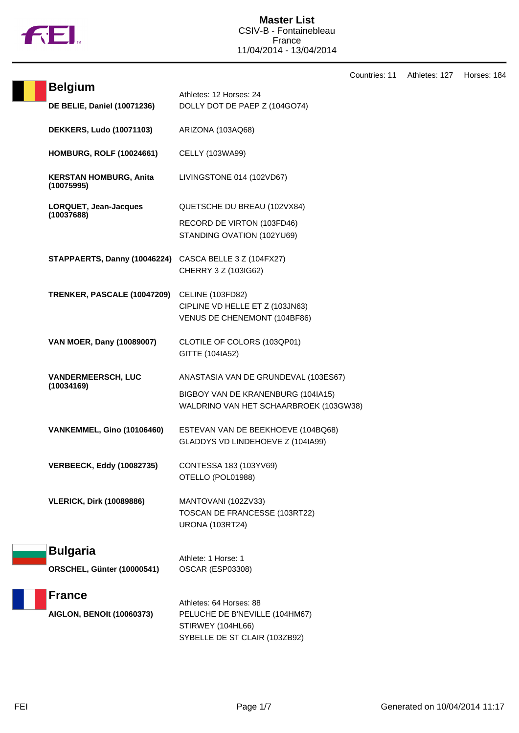

|                                                        |                                                                                            | Countries: 11 | Athletes: 127 | Horses: 184 |
|--------------------------------------------------------|--------------------------------------------------------------------------------------------|---------------|---------------|-------------|
| <b>Belgium</b>                                         | Athletes: 12 Horses: 24                                                                    |               |               |             |
| <b>DE BELIE, Daniel (10071236)</b>                     | DOLLY DOT DE PAEP Z (104GO74)                                                              |               |               |             |
| <b>DEKKERS, Ludo (10071103)</b>                        | ARIZONA (103AQ68)                                                                          |               |               |             |
| <b>HOMBURG, ROLF (10024661)</b>                        | CELLY (103WA99)                                                                            |               |               |             |
| <b>KERSTAN HOMBURG, Anita</b><br>(10075995)            | LIVINGSTONE 014 (102VD67)                                                                  |               |               |             |
| LORQUET, Jean-Jacques                                  | QUETSCHE DU BREAU (102VX84)                                                                |               |               |             |
| (10037688)                                             | RECORD DE VIRTON (103FD46)<br>STANDING OVATION (102YU69)                                   |               |               |             |
| STAPPAERTS, Danny (10046224) CASCA BELLE 3 Z (104FX27) | CHERRY 3 Z (103IG62)                                                                       |               |               |             |
| TRENKER, PASCALE (10047209)                            | <b>CELINE (103FD82)</b><br>CIPLINE VD HELLE ET Z (103JN63)<br>VENUS DE CHENEMONT (104BF86) |               |               |             |
| VAN MOER, Dany (10089007)                              | CLOTILE OF COLORS (103QP01)<br>GITTE (104IA52)                                             |               |               |             |
| <b>VANDERMEERSCH, LUC</b>                              | ANASTASIA VAN DE GRUNDEVAL (103ES67)                                                       |               |               |             |
| (10034169)                                             | BIGBOY VAN DE KRANENBURG (104IA15)<br>WALDRINO VAN HET SCHAARBROEK (103GW38)               |               |               |             |
| <b>VANKEMMEL, Gino (10106460)</b>                      | ESTEVAN VAN DE BEEKHOEVE (104BQ68)<br>GLADDYS VD LINDEHOEVE Z (104IA99)                    |               |               |             |
| <b>VERBEECK, Eddy (10082735)</b>                       | CONTESSA 183 (103YV69)<br>OTELLO (POL01988)                                                |               |               |             |
| <b>VLERICK, Dirk (10089886)</b>                        | MANTOVANI (102ZV33)<br>TOSCAN DE FRANCESSE (103RT22)<br><b>URONA (103RT24)</b>             |               |               |             |
| <b>Bulgaria</b>                                        | Athlete: 1 Horse: 1                                                                        |               |               |             |
| ORSCHEL, Günter (10000541)                             | <b>OSCAR (ESP03308)</b>                                                                    |               |               |             |
| <b>France</b>                                          |                                                                                            |               |               |             |
| <b>AIGLON, BENOIt (10060373)</b>                       | Athletes: 64 Horses: 88<br>PELUCHE DE B'NEVILLE (104HM67)                                  |               |               |             |
|                                                        | STIRWEY (104HL66)<br>SYBELLE DE ST CLAIR (103ZB92)                                         |               |               |             |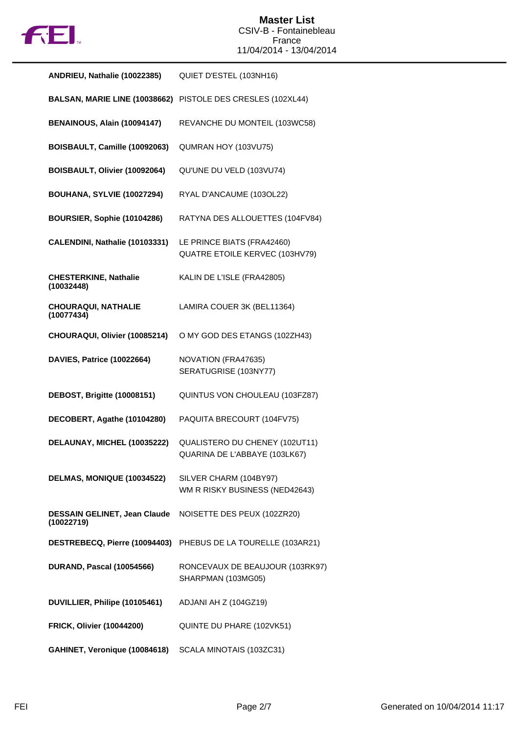

| ANDRIEU, Nathalie (10022385)               | QUIET D'ESTEL (103NH16)                                         |
|--------------------------------------------|-----------------------------------------------------------------|
| BALSAN, MARIE LINE (10038662)              | PISTOLE DES CRESLES (102XL44)                                   |
| BENAINOUS, Alain (10094147)                | REVANCHE DU MONTEIL (103WC58)                                   |
| BOISBAULT, Camille (10092063)              | QUMRAN HOY (103VU75)                                            |
| BOISBAULT, Olivier (10092064)              | QU'UNE DU VELD (103VU74)                                        |
| <b>BOUHANA, SYLVIE (10027294)</b>          | RYAL D'ANCAUME (103OL22)                                        |
| BOURSIER, Sophie (10104286)                | RATYNA DES ALLOUETTES (104FV84)                                 |
| CALENDINI, Nathalie (10103331)             | LE PRINCE BIATS (FRA42460)<br>QUATRE ETOILE KERVEC (103HV79)    |
| <b>CHESTERKINE, Nathalie</b><br>(10032448) | KALIN DE L'ISLE (FRA42805)                                      |
| <b>CHOURAQUI, NATHALIE</b><br>(10077434)   | LAMIRA COUER 3K (BEL11364)                                      |
| CHOURAQUI, Olivier (10085214)              | O MY GOD DES ETANGS (102ZH43)                                   |
| <b>DAVIES, Patrice (10022664)</b>          | NOVATION (FRA47635)<br>SERATUGRISE (103NY77)                    |
| DEBOST, Brigitte (10008151)                | QUINTUS VON CHOULEAU (103FZ87)                                  |
| DECOBERT, Agathe (10104280)                | PAQUITA BRECOURT (104FV75)                                      |
| DELAUNAY, MICHEL (10035222)                | QUALISTERO DU CHENEY (102UT11)<br>QUARINA DE L'ABBAYE (103LK67) |
| DELMAS, MONIQUE (10034522)                 | SILVER CHARM (104BY97)<br>WM R RISKY BUSINESS (NED42643)        |
| DESSAIN GELINET, Jean Claude<br>(10022719) | NOISETTE DES PEUX (102ZR20)                                     |
| DESTREBECQ, Pierre (10094403)              | PHEBUS DE LA TOURELLE (103AR21)                                 |
| <b>DURAND, Pascal (10054566)</b>           | RONCEVAUX DE BEAUJOUR (103RK97)<br>SHARPMAN (103MG05)           |
| DUVILLIER, Philipe (10105461)              | ADJANI AH Z (104GZ19)                                           |
| <b>FRICK, Olivier (10044200)</b>           | QUINTE DU PHARE (102VK51)                                       |
| GAHINET, Veronique (10084618)              | SCALA MINOTAIS (103ZC31)                                        |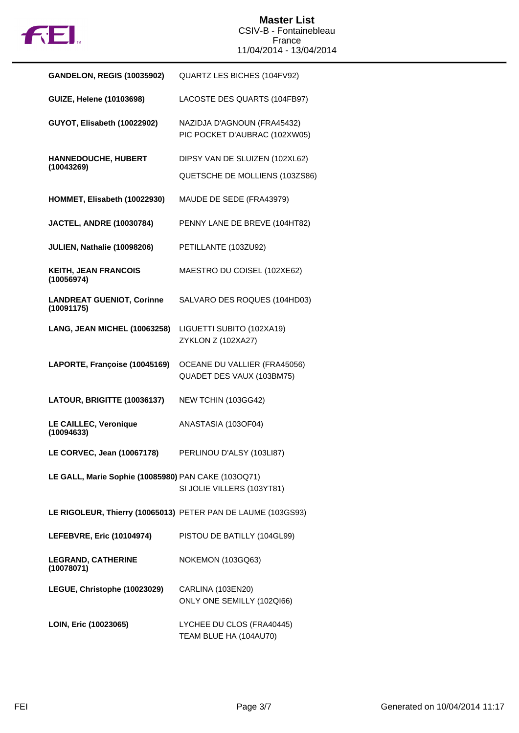

| <b>GANDELON, REGIS (10035902)</b>                   | QUARTZ LES BICHES (104FV92)                                  |
|-----------------------------------------------------|--------------------------------------------------------------|
| <b>GUIZE, Helene (10103698)</b>                     | LACOSTE DES QUARTS (104FB97)                                 |
| GUYOT, Elisabeth (10022902)                         | NAZIDJA D'AGNOUN (FRA45432)<br>PIC POCKET D'AUBRAC (102XW05) |
| HANNEDOUCHE, HUBERT<br>(10043269)                   | DIPSY VAN DE SLUIZEN (102XL62)                               |
|                                                     | QUETSCHE DE MOLLIENS (103ZS86)                               |
| HOMMET, Elisabeth (10022930)                        | MAUDE DE SEDE (FRA43979)                                     |
| <b>JACTEL, ANDRE (10030784)</b>                     | PENNY LANE DE BREVE (104HT82)                                |
| JULIEN, Nathalie (10098206)                         | PETILLANTE (103ZU92)                                         |
| <b>KEITH, JEAN FRANCOIS</b><br>(10056974)           | MAESTRO DU COISEL (102XE62)                                  |
| <b>LANDREAT GUENIOT, Corinne</b><br>(10091175)      | SALVARO DES ROQUES (104HD03)                                 |
| LANG, JEAN MICHEL (10063258)                        | LIGUETTI SUBITO (102XA19)<br>ZYKLON Z (102XA27)              |
| LAPORTE, Françoise (10045169)                       | OCEANE DU VALLIER (FRA45056)<br>QUADET DES VAUX (103BM75)    |
| LATOUR, BRIGITTE (10036137)                         | NEW TCHIN (103GG42)                                          |
| LE CAILLEC, Veronique<br>(10094633)                 | ANASTASIA (103OF04)                                          |
| LE CORVEC, Jean (10067178)                          | PERLINOU D'ALSY (103LI87)                                    |
| LE GALL, Marie Sophie (10085980) PAN CAKE (103OQ71) | SI JOLIE VILLERS (103YT81)                                   |
|                                                     | LE RIGOLEUR, Thierry (10065013) PETER PAN DE LAUME (103GS93) |
| <b>LEFEBVRE, Eric (10104974)</b>                    | PISTOU DE BATILLY (104GL99)                                  |
| <b>LEGRAND, CATHERINE</b><br>(10078071)             | NOKEMON (103GQ63)                                            |
| LEGUE, Christophe (10023029)                        | CARLINA (103EN20)<br>ONLY ONE SEMILLY (102QI66)              |
| LOIN, Eric (10023065)                               | LYCHEE DU CLOS (FRA40445)<br>TEAM BLUE HA (104AU70)          |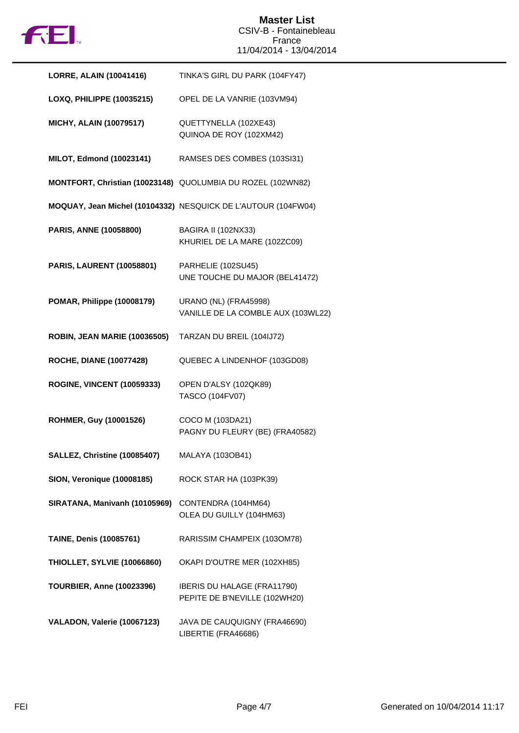

| <b>LORRE, ALAIN (10041416)</b>      | TINKA'S GIRL DU PARK (104FY47)                                     |
|-------------------------------------|--------------------------------------------------------------------|
| LOXQ, PHILIPPE (10035215)           | OPEL DE LA VANRIE (103VM94)                                        |
| <b>MICHY, ALAIN (10079517)</b>      | QUETTYNELLA (102XE43)<br>QUINOA DE ROY (102XM42)                   |
| MILOT, Edmond (10023141)            | RAMSES DES COMBES (103SI31)                                        |
|                                     | MONTFORT, Christian (10023148) QUOLUMBIA DU ROZEL (102WN82)        |
|                                     | MOQUAY, Jean Michel (10104332) NESQUICK DE L'AUTOUR (104FW04)      |
| PARIS, ANNE (10058800)              | BAGIRA II (102NX33)<br>KHURIEL DE LA MARE (102ZC09)                |
| <b>PARIS, LAURENT (10058801)</b>    | PARHELIE (102SU45)<br>UNE TOUCHE DU MAJOR (BEL41472)               |
| POMAR, Philippe (10008179)          | <b>URANO (NL) (FRA45998)</b><br>VANILLE DE LA COMBLE AUX (103WL22) |
| <b>ROBIN, JEAN MARIE (10036505)</b> | TARZAN DU BREIL (104IJ72)                                          |
| <b>ROCHE, DIANE (10077428)</b>      | QUEBEC A LINDENHOF (103GD08)                                       |
| <b>ROGINE, VINCENT (10059333)</b>   | OPEN D'ALSY (102QK89)<br>TASCO (104FV07)                           |
| ROHMER, Guy (10001526)              | COCO M (103DA21)<br>PAGNY DU FLEURY (BE) (FRA40582)                |
| SALLEZ, Christine (10085407)        | MALAYA (103OB41)                                                   |
| <b>SION, Veronique (10008185)</b>   | ROCK STAR HA (103PK39)                                             |
| SIRATANA, Manivanh (10105969)       | CONTENDRA (104HM64)<br>OLEA DU GUILLY (104HM63)                    |
| TAINE, Denis (10085761)             | RARISSIM CHAMPEIX (103OM78)                                        |
| <b>THIOLLET, SYLVIE (10066860)</b>  | OKAPI D'OUTRE MER (102XH85)                                        |
| <b>TOURBIER, Anne (10023396)</b>    | IBERIS DU HALAGE (FRA11790)<br>PEPITE DE B'NEVILLE (102WH20)       |
| VALADON, Valerie (10067123)         | JAVA DE CAUQUIGNY (FRA46690)<br>LIBERTIE (FRA46686)                |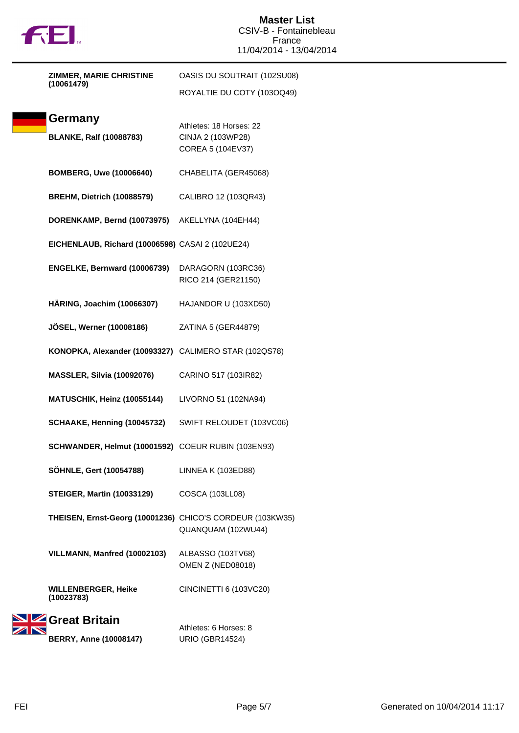

| ZIMMER, MARIE CHRISTINE                                   | OASIS DU SOUTRAIT (102SU08) |  |
|-----------------------------------------------------------|-----------------------------|--|
| (10061479)                                                | ROYALTIE DU COTY (103OQ49)  |  |
|                                                           |                             |  |
| Germany                                                   | Athletes: 18 Horses: 22     |  |
| <b>BLANKE, Ralf (10088783)</b>                            | CINJA 2 (103WP28)           |  |
|                                                           | COREA 5 (104EV37)           |  |
| <b>BOMBERG, Uwe (10006640)</b>                            | CHABELITA (GER45068)        |  |
|                                                           |                             |  |
| <b>BREHM, Dietrich (10088579)</b>                         | CALIBRO 12 (103QR43)        |  |
| DORENKAMP, Bernd (10073975)                               | AKELLYNA (104EH44)          |  |
|                                                           |                             |  |
| EICHENLAUB, Richard (10006598) CASAI 2 (102UE24)          |                             |  |
| ENGELKE, Bernward (10006739)                              | DARAGORN (103RC36)          |  |
|                                                           | RICO 214 (GER21150)         |  |
| HÄRING, Joachim (10066307)                                | HAJANDOR U (103XD50)        |  |
|                                                           |                             |  |
| <b>JÖSEL, Werner (10008186)</b>                           | ZATINA 5 (GER44879)         |  |
| KONOPKA, Alexander (10093327) CALIMERO STAR (102QS78)     |                             |  |
|                                                           |                             |  |
| MASSLER, Silvia (10092076)                                | CARINO 517 (103IR82)        |  |
| MATUSCHIK, Heinz (10055144)                               | LIVORNO 51 (102NA94)        |  |
|                                                           |                             |  |
| SCHAAKE, Henning (10045732)                               | SWIFT RELOUDET (103VC06)    |  |
| SCHWANDER, Helmut (10001592) COEUR RUBIN (103EN93)        |                             |  |
| SÖHNLE, Gert (10054788)                                   | LINNEA K (103ED88)          |  |
|                                                           |                             |  |
| <b>STEIGER, Martin (10033129)</b>                         | <b>COSCA (103LL08)</b>      |  |
| THEISEN, Ernst-Georg (10001236) CHICO'S CORDEUR (103KW35) |                             |  |
|                                                           | QUANQUAM (102WU44)          |  |
| VILLMANN, Manfred (10002103)                              | ALBASSO (103TV68)           |  |
|                                                           | OMEN Z (NED08018)           |  |
|                                                           |                             |  |
| <b>WILLENBERGER, Heike</b><br>(10023783)                  | CINCINETTI 6 (103VC20)      |  |
| Great Britain                                             |                             |  |
|                                                           | Athletes: 6 Horses: 8       |  |
| <b>BERRY, Anne (10008147)</b>                             | <b>URIO (GBR14524)</b>      |  |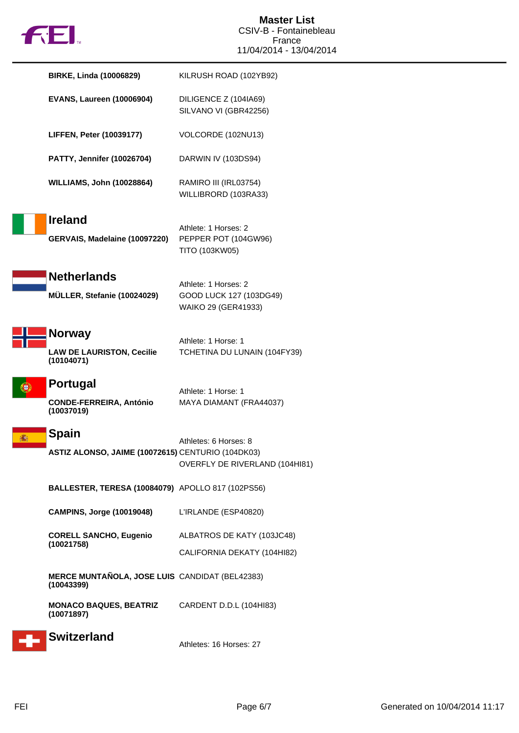

| <b>BIRKE, Linda (10006829)</b>                                    | KILRUSH ROAD (102YB92)                                                 |
|-------------------------------------------------------------------|------------------------------------------------------------------------|
| <b>EVANS, Laureen (10006904)</b>                                  | DILIGENCE Z (104IA69)<br>SILVANO VI (GBR42256)                         |
| <b>LIFFEN, Peter (10039177)</b>                                   | VOLCORDE (102NU13)                                                     |
| <b>PATTY, Jennifer (10026704)</b>                                 | DARWIN IV (103DS94)                                                    |
| <b>WILLIAMS, John (10028864)</b>                                  | RAMIRO III (IRL03754)<br>WILLIBRORD (103RA33)                          |
| <b>Ireland</b><br>GERVAIS, Madelaine (10097220)                   | Athlete: 1 Horses: 2<br>PEPPER POT (104GW96)<br>TITO (103KW05)         |
| <b>Netherlands</b><br>MÜLLER, Stefanie (10024029)                 | Athlete: 1 Horses: 2<br>GOOD LUCK 127 (103DG49)<br>WAIKO 29 (GER41933) |
| <b>Norway</b><br><b>LAW DE LAURISTON, Cecilie</b><br>(10104071)   | Athlete: 1 Horse: 1<br>TCHETINA DU LUNAIN (104FY39)                    |
| <b>Portugal</b><br><b>CONDE-FERREIRA, António</b><br>(10037019)   | Athlete: 1 Horse: 1<br>MAYA DIAMANT (FRA44037)                         |
| <b>Spain</b><br>ASTIZ ALONSO, JAIME (10072615) CENTURIO (104DK03) | Athletes: 6 Horses: 8<br>OVERFLY DE RIVERLAND (104HI81)                |
| BALLESTER, TERESA (10084079) APOLLO 817 (102PS56)                 |                                                                        |
| <b>CAMPINS, Jorge (10019048)</b>                                  | L'IRLANDE (ESP40820)                                                   |
| <b>CORELL SANCHO, Eugenio</b><br>(10021758)                       | ALBATROS DE KATY (103JC48)<br>CALIFORNIA DEKATY (104HI82)              |
| MERCE MUNTAÑOLA, JOSE LUIS CANDIDAT (BEL42383)<br>(10043399)      |                                                                        |
| <b>MONACO BAQUES, BEATRIZ</b><br>(10071897)                       | CARDENT D.D.L (104HI83)                                                |
| <b>Switzerland</b>                                                | Athletes: 16 Horses: 27                                                |

F